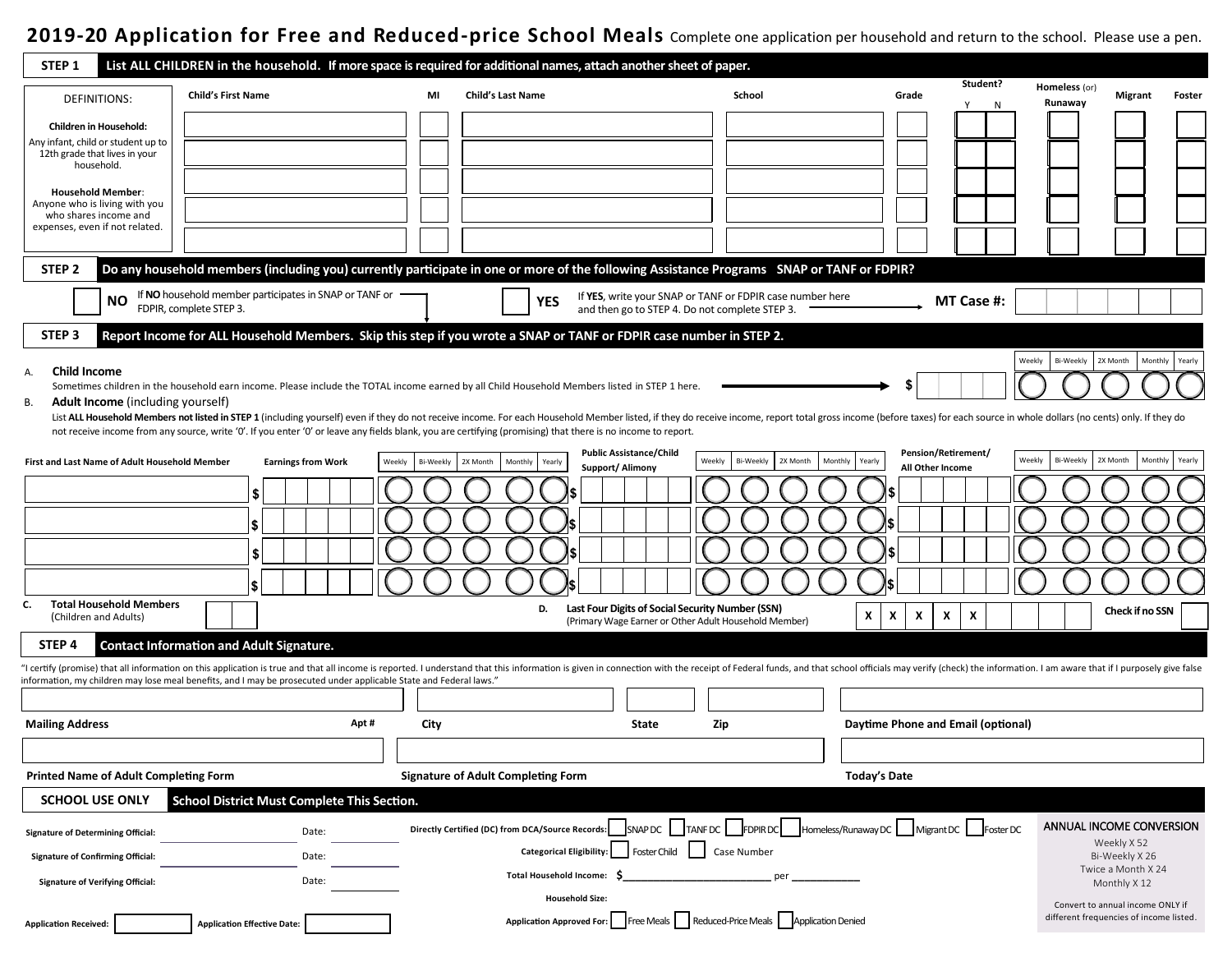## **2020-21 Application for Free and Reduced-price School Meals** Complete one application per household and return to the school. Please use a pen.

| STEP <sub>1</sub>                                             |                                                                                                                    |                     | List ALL CHILDREN in the household. If more space is required for additional names, attach another sheet of paper.                                                                                                             |                                                    |                                                          |                        |                    |                                        |
|---------------------------------------------------------------|--------------------------------------------------------------------------------------------------------------------|---------------------|--------------------------------------------------------------------------------------------------------------------------------------------------------------------------------------------------------------------------------|----------------------------------------------------|----------------------------------------------------------|------------------------|--------------------|----------------------------------------|
| <b>DEFINITIONS:</b>                                           | <b>Child's First Name</b>                                                                                          | MI                  | <b>Child's Last Name</b>                                                                                                                                                                                                       | School                                             | Grade                                                    | Student?               | Homeless (or)      | Migrant<br>Foster                      |
|                                                               |                                                                                                                    |                     |                                                                                                                                                                                                                                |                                                    |                                                          | N                      | Runaway            |                                        |
| Children in Household:<br>Any infant, child or student up to  |                                                                                                                    |                     |                                                                                                                                                                                                                                |                                                    |                                                          |                        |                    |                                        |
| 12th grade that lives in your<br>household.                   |                                                                                                                    |                     |                                                                                                                                                                                                                                |                                                    |                                                          |                        |                    |                                        |
| <b>Household Member:</b>                                      |                                                                                                                    |                     |                                                                                                                                                                                                                                |                                                    |                                                          |                        |                    |                                        |
| Anyone who is living with you<br>who shares income and        |                                                                                                                    |                     |                                                                                                                                                                                                                                |                                                    |                                                          |                        |                    |                                        |
| expenses, even if not related.                                |                                                                                                                    |                     |                                                                                                                                                                                                                                |                                                    |                                                          |                        |                    |                                        |
|                                                               |                                                                                                                    |                     |                                                                                                                                                                                                                                |                                                    |                                                          |                        |                    |                                        |
| STEP <sub>2</sub>                                             |                                                                                                                    |                     | Do any household members (including you) currently participate in one or more of the following Assistance Programs SNAP or TANF or FDPIR?                                                                                      |                                                    |                                                          |                        |                    |                                        |
| ΝO                                                            | If NO household member participates in SNAP or TANF or<br>FDPIR, complete STEP 3.                                  |                     | If YES, write your SNAP or TANF or FDPIR case number here<br>YES<br>and then go to STEP 4. Do not complete STEP 3.                                                                                                             |                                                    |                                                          | MT Case #:             |                    |                                        |
| STEP <sub>3</sub>                                             |                                                                                                                    |                     | Report Income for ALL Household Members. Skip this step if you wrote a SNAP or TANF or FDPIR case number in STEP 2.                                                                                                            |                                                    |                                                          |                        |                    |                                        |
| <b>Child Income</b><br>А.                                     |                                                                                                                    |                     |                                                                                                                                                                                                                                |                                                    |                                                          | Weekly                 | Bi-Weekly 2X Month | Monthly Yearly                         |
|                                                               |                                                                                                                    |                     | Sometimes children in the household earn income. Please include the TOTAL income earned by all Child Household Members listed in STEP 1 here.                                                                                  |                                                    |                                                          |                        |                    |                                        |
| <b>Adult Income</b> (including yourself)<br>В.                |                                                                                                                    |                     | List ALL Household Members not listed in STEP 1 (including yourself) even if they do not receive income. For each Household Member listed, if they do receive income, report total gross income (before taxes) for each source |                                                    |                                                          |                        |                    |                                        |
|                                                               |                                                                                                                    |                     | not receive income from any source, write '0'. If you enter '0' or leave any fields blank, you are certifying (promising) that there is no income to report.                                                                   |                                                    |                                                          |                        |                    |                                        |
| First and Last Name of Adult Household Member                 | <b>Earnings from Work</b>                                                                                          | Bi-Weekly<br>Weekly | <b>Public Assistance/Child</b><br>2X Month<br>Weekly<br>Monthly<br>Yearly<br>Support/ Alimony                                                                                                                                  | Bi-Weekly<br>2X Month<br>Monthly                   | <b>Pension/Retirement/</b><br>Yearly<br>All Other Income | Weekly                 | Bi-Weekly          | 2X Month<br>Monthly<br>Yearly          |
|                                                               |                                                                                                                    |                     |                                                                                                                                                                                                                                |                                                    |                                                          |                        |                    |                                        |
|                                                               | 5                                                                                                                  |                     |                                                                                                                                                                                                                                |                                                    |                                                          |                        |                    |                                        |
|                                                               | l \$                                                                                                               |                     |                                                                                                                                                                                                                                |                                                    |                                                          |                        |                    |                                        |
|                                                               | \$                                                                                                                 |                     |                                                                                                                                                                                                                                |                                                    |                                                          |                        |                    |                                        |
|                                                               | l S                                                                                                                |                     |                                                                                                                                                                                                                                |                                                    |                                                          |                        |                    |                                        |
| <b>Total Household Members</b><br>C.<br>(Children and Adults) |                                                                                                                    |                     | Last Four Digits of Social Security Number (SSN)<br>D.<br>(Primary Wage Earner or Other Adult Household Member)                                                                                                                |                                                    | X<br>Χ<br>X<br>X                                         | x                      |                    | Check if no SSN                        |
| STEP <sub>4</sub>                                             | <b>Contact Information and Adult Signature.</b>                                                                    |                     |                                                                                                                                                                                                                                |                                                    |                                                          |                        |                    |                                        |
|                                                               |                                                                                                                    |                     | I certify (promise) that all information on this application is true and that all income is reported. I understand that this information is given in connection with the receipt of Federal funds, and that school officials m |                                                    |                                                          |                        |                    |                                        |
|                                                               | information, my children may lose meal benefits, and I may be prosecuted under applicable State and Federal laws." |                     |                                                                                                                                                                                                                                |                                                    |                                                          |                        |                    |                                        |
| <b>Mailing Address</b>                                        | Apt#                                                                                                               | City                | State<br>Zip                                                                                                                                                                                                                   |                                                    | Daytime Phone and Email (optional)                       |                        |                    |                                        |
|                                                               |                                                                                                                    |                     |                                                                                                                                                                                                                                |                                                    |                                                          |                        |                    |                                        |
| <b>Printed Name of Adult Completing Form</b>                  |                                                                                                                    |                     | <b>Signature of Adult Completing Form</b>                                                                                                                                                                                      |                                                    | <b>Today's Date</b>                                      |                        |                    |                                        |
| <b>SCHOOL USE ONLY</b>                                        | School District Must Complete This Section.                                                                        |                     |                                                                                                                                                                                                                                |                                                    |                                                          |                        |                    |                                        |
| <b>Signature of Determining Official:</b>                     | Date:                                                                                                              |                     | Directly Certified (DC) from DCA/Source Records:                                                                                                                                                                               | SNAP DC   TANF DC   FDPIR DC   Homeless/Runaway DC |                                                          | Migrant DC   Foster DC |                    | ANNUAL INCOME CONVERSION               |
| <b>Signature of Confirming Official:</b>                      | Date:                                                                                                              |                     | <b>Foster Child</b><br><b>Categorical Eligibility:</b>                                                                                                                                                                         | Case Number                                        |                                                          |                        |                    | Weekly X 52<br>Bi-Weekly X 26          |
| <b>Signature of Verifying Official:</b>                       | Date:                                                                                                              |                     | <b>Total Household Income:</b>                                                                                                                                                                                                 |                                                    |                                                          |                        |                    | Twice a Month X 24<br>Monthly X 12     |
|                                                               |                                                                                                                    |                     | <b>Household Size:</b>                                                                                                                                                                                                         |                                                    |                                                          |                        |                    | Convert to annual income ONLY if       |
| <b>Application Received:</b>                                  | <b>Application Effective Date:</b>                                                                                 |                     | Application Approved For: Free Meals   Reduced-Price Meals   Application Denied                                                                                                                                                |                                                    |                                                          |                        |                    | different frequencies of income listed |